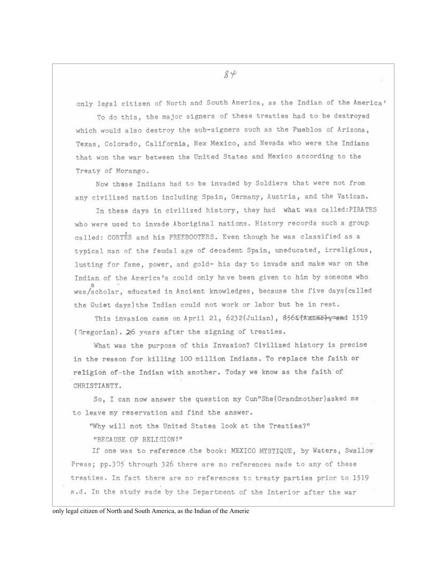only legal citizen of North and South America, as the Indian of the America'

To do this, the major signers of these treaties had to be destroved which would also destroy the sub-signers such as the Pueblos of Arizona. Texas, Colorado, California, Nex Mexico, and Nevada who were the Indians that won the war between the United States and Mexico according to the Treaty of Morango.

Now these Indians had to be invaded by Soldiers that were not from any civilized nation including Spain, Germany, Austria, and the Vatican.

In these days in civilized history, they had what was called: PIRATES who were used to invade Aboriginal nations. History records such a group called: CORTES and his FREEBOOTERS. Even though he was classified as a typical man of the feudal age of decadent Spain, uneducated, irreligious, lusting for fame, power, and gold- his day to invade and make war on the Indian of the America's could only have been given to him by someone who was/scholar, educated in Ancient knowledges, because the five days (called the Quiet days) the Indian could not work or labor but be in rest.

This invasion came on April 21, 6232(Julian), 8565(kztee), and 1519 (Gregorian). 26 years after the signing of treaties.

What was the purpose of this Invasion? Civilized history is precise in the reason for killing 100 million Indians. To replace the faith or religion of-the Indian with another. Today we know as the faith of CHRISTIANTY.

So, I can now answer the question my Cun"She (Grandmother) asked me to leave my reservation and find the answer.

"Why will not the United States look at the Treaties?"

"BECAUSE OF RELICION!"

If one was to reference the book: MEXICO MYSTIQUE, by Waters, Swallow Press; pp.305 through 326 there are no references made to any of these treaties. In fact there are no references to treaty parties prior to 1519 a.d. In the study made by the Department of the Interior after the war

only legal citizen of North and South America, as the Indian of the Amerie

 $84$